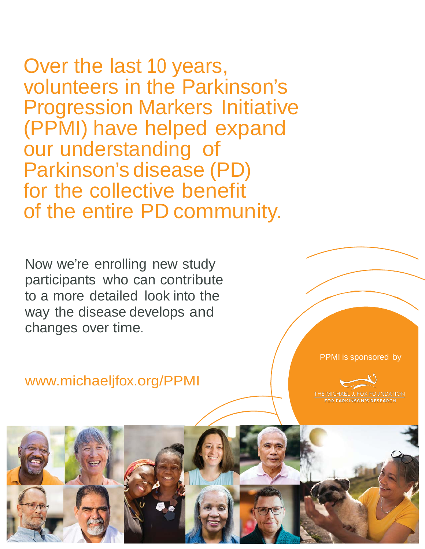Over the last 10 years, volunteers in the Parkinson's Progression Markers Initiative (PPMI) have helped expand our understanding of Parkinson's disease (PD) for the collective benefit of the entire PD community.

Now we're enrolling new study participants who can contribute to a more detailed look into the way the disease develops and changes over time.

[www.michaeljfox.org/PPMI](http://www.michaeljfox.org/PPMI)

PPMI is sponsored by

THE MICHAEL J. FOX FOUNDATION **FOR PARKINSON'S RESEARCH**